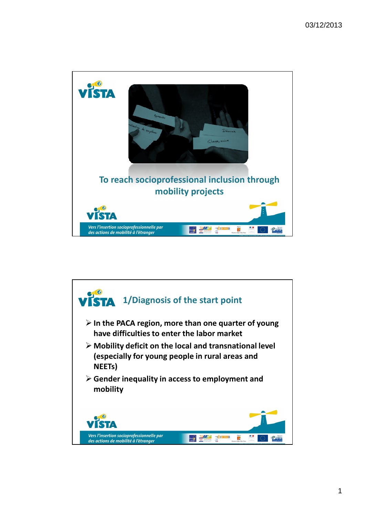

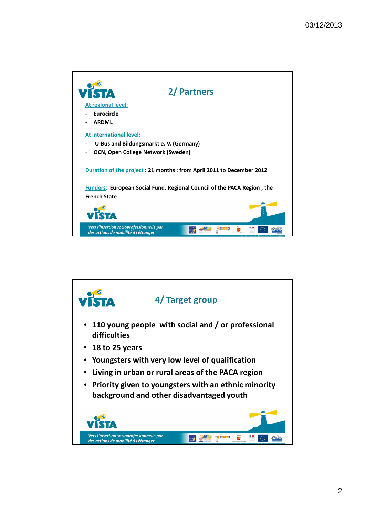

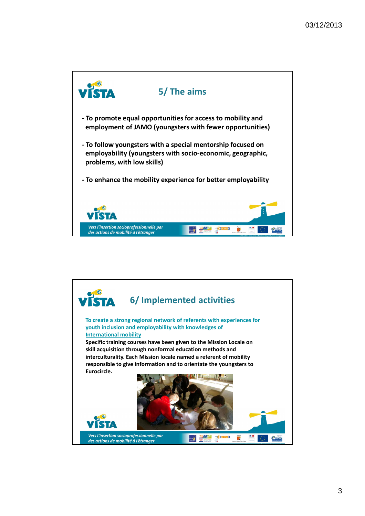